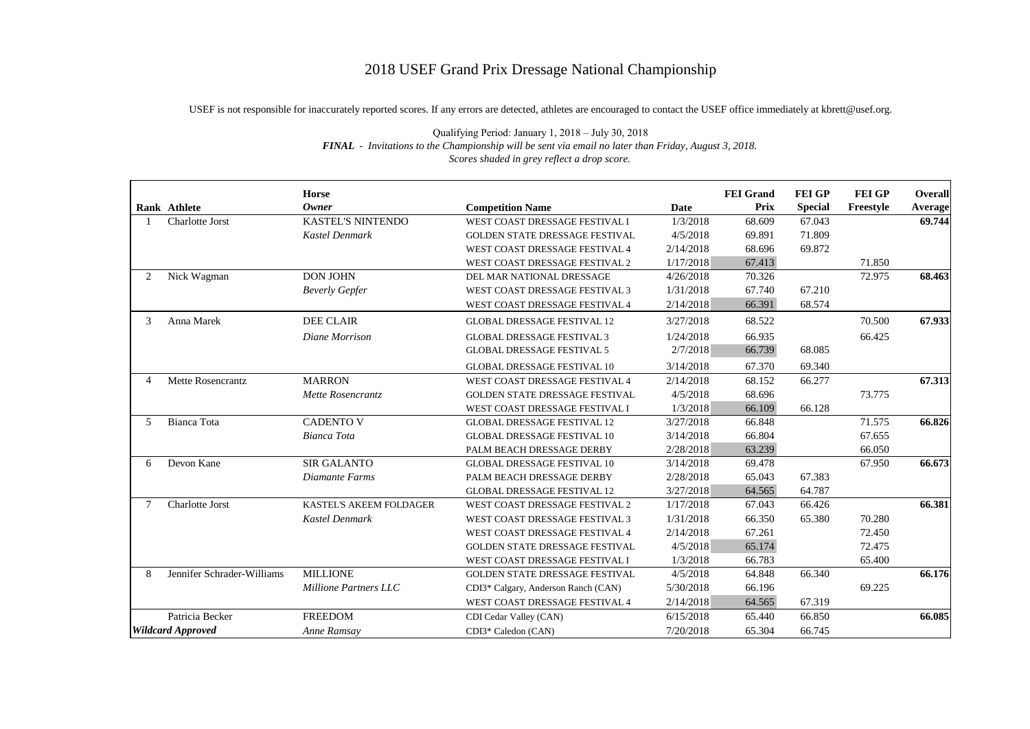## 2018 USEF Grand Prix Dressage National Championship

USEF is not responsible for inaccurately reported scores. If any errors are detected, athletes are encouraged to contact the USEF office immediately at kbrett@usef.org.

|                          | Rank Athlete               | <b>Horse</b><br><b>Owner</b> | <b>Competition Name</b>             | <b>Date</b> | <b>FEI</b> Grand<br><b>Prix</b> | <b>FEI GP</b><br><b>Special</b> | <b>FEI GP</b><br>Freestyle | Overall<br>Average |
|--------------------------|----------------------------|------------------------------|-------------------------------------|-------------|---------------------------------|---------------------------------|----------------------------|--------------------|
|                          | Charlotte Jorst            | <b>KASTEL'S NINTENDO</b>     | WEST COAST DRESSAGE FESTIVAL I      | 1/3/2018    | 68.609                          | 67.043                          |                            | 69.744             |
|                          |                            | <b>Kastel Denmark</b>        | GOLDEN STATE DRESSAGE FESTIVAL      | 4/5/2018    | 69.891                          | 71.809                          |                            |                    |
|                          |                            |                              | WEST COAST DRESSAGE FESTIVAL 4      | 2/14/2018   | 68.696                          | 69.872                          |                            |                    |
|                          |                            |                              | WEST COAST DRESSAGE FESTIVAL 2      | 1/17/2018   | 67.413                          |                                 | 71.850                     |                    |
| 2                        | Nick Wagman                | <b>DON JOHN</b>              | DEL MAR NATIONAL DRESSAGE           | 4/26/2018   | 70.326                          |                                 | 72.975                     | 68.463             |
|                          |                            | <b>Beverly Gepfer</b>        | WEST COAST DRESSAGE FESTIVAL 3      | 1/31/2018   | 67.740                          | 67.210                          |                            |                    |
|                          |                            |                              | WEST COAST DRESSAGE FESTIVAL 4      | 2/14/2018   | 66.391                          | 68.574                          |                            |                    |
| 3                        | Anna Marek                 | <b>DEE CLAIR</b>             | <b>GLOBAL DRESSAGE FESTIVAL 12</b>  | 3/27/2018   | 68.522                          |                                 | 70.500                     | 67.933             |
|                          |                            | Diane Morrison               | <b>GLOBAL DRESSAGE FESTIVAL 3</b>   | 1/24/2018   | 66.935                          |                                 | 66.425                     |                    |
|                          |                            |                              | <b>GLOBAL DRESSAGE FESTIVAL 5</b>   | 2/7/2018    | 66.739                          | 68.085                          |                            |                    |
|                          |                            |                              | <b>GLOBAL DRESSAGE FESTIVAL 10</b>  | 3/14/2018   | 67.370                          | 69.340                          |                            |                    |
| $\overline{4}$           | Mette Rosencrantz          | <b>MARRON</b>                | WEST COAST DRESSAGE FESTIVAL 4      | 2/14/2018   | 68.152                          | 66.277                          |                            | 67.313             |
|                          |                            | Mette Rosencrantz            | GOLDEN STATE DRESSAGE FESTIVAL      | 4/5/2018    | 68.696                          |                                 | 73.775                     |                    |
|                          |                            |                              | WEST COAST DRESSAGE FESTIVAL I      | 1/3/2018    | 66.109                          | 66.128                          |                            |                    |
| 5                        | Bianca Tota                | <b>CADENTO V</b>             | <b>GLOBAL DRESSAGE FESTIVAL 12</b>  | 3/27/2018   | 66.848                          |                                 | 71.575                     | 66.826             |
|                          |                            | Bianca Tota                  | <b>GLOBAL DRESSAGE FESTIVAL 10</b>  | 3/14/2018   | 66.804                          |                                 | 67.655                     |                    |
|                          |                            |                              | PALM BEACH DRESSAGE DERBY           | 2/28/2018   | 63.239                          |                                 | 66.050                     |                    |
| 6                        | Devon Kane                 | <b>SIR GALANTO</b>           | <b>GLOBAL DRESSAGE FESTIVAL 10</b>  | 3/14/2018   | 69.478                          |                                 | 67.950                     | 66.673             |
|                          |                            | Diamante Farms               | PALM BEACH DRESSAGE DERBY           | 2/28/2018   | 65.043                          | 67.383                          |                            |                    |
|                          |                            |                              | <b>GLOBAL DRESSAGE FESTIVAL 12</b>  | 3/27/2018   | 64.565                          | 64.787                          |                            |                    |
| 7                        | Charlotte Jorst            | KASTEL'S AKEEM FOLDAGER      | WEST COAST DRESSAGE FESTIVAL 2      | 1/17/2018   | 67.043                          | 66.426                          |                            | 66.381             |
|                          |                            | Kastel Denmark               | WEST COAST DRESSAGE FESTIVAL 3      | 1/31/2018   | 66.350                          | 65.380                          | 70.280                     |                    |
|                          |                            |                              | WEST COAST DRESSAGE FESTIVAL 4      | 2/14/2018   | 67.261                          |                                 | 72.450                     |                    |
|                          |                            |                              | GOLDEN STATE DRESSAGE FESTIVAL      | 4/5/2018    | 65.174                          |                                 | 72.475                     |                    |
|                          |                            |                              | WEST COAST DRESSAGE FESTIVAL I      | 1/3/2018    | 66.783                          |                                 | 65.400                     |                    |
| 8                        | Jennifer Schrader-Williams | <b>MILLIONE</b>              | GOLDEN STATE DRESSAGE FESTIVAL      | 4/5/2018    | 64.848                          | 66.340                          |                            | 66.176             |
|                          |                            | <b>Millione Partners LLC</b> | CDI3* Calgary, Anderson Ranch (CAN) | 5/30/2018   | 66.196                          |                                 | 69.225                     |                    |
|                          |                            |                              | WEST COAST DRESSAGE FESTIVAL 4      | 2/14/2018   | 64.565                          | 67.319                          |                            |                    |
|                          | Patricia Becker            | <b>FREEDOM</b>               | CDI Cedar Valley (CAN)              | 6/15/2018   | 65.440                          | 66.850                          |                            | 66.085             |
| <b>Wildcard Approved</b> |                            | Anne Ramsay                  | CDI3* Caledon (CAN)                 | 7/20/2018   | 65.304                          | 66.745                          |                            |                    |

Qualifying Period: January 1, 2018 – July 30, 2018 *FINAL* - *Invitations to the Championship will be sent via email no later than Friday, August 3, 2018. Scores shaded in grey reflect a drop score.*